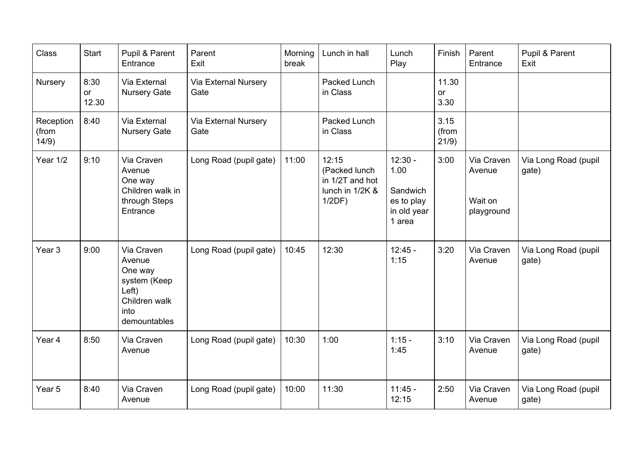| <b>Class</b>                | Start               | Pupil & Parent<br>Entrance                                                                        | Parent<br>Exit                      | Morning<br>break | Lunch in hall                                                             | Lunch<br>Play                                                        | Finish                 | Parent<br>Entrance                            | Pupil & Parent<br>Exit        |
|-----------------------------|---------------------|---------------------------------------------------------------------------------------------------|-------------------------------------|------------------|---------------------------------------------------------------------------|----------------------------------------------------------------------|------------------------|-----------------------------------------------|-------------------------------|
| Nursery                     | 8:30<br>or<br>12.30 | Via External<br><b>Nursery Gate</b>                                                               | <b>Via External Nursery</b><br>Gate |                  | Packed Lunch<br>in Class                                                  |                                                                      | 11.30<br>or<br>3.30    |                                               |                               |
| Reception<br>(from<br>14/9) | 8:40                | Via External<br><b>Nursery Gate</b>                                                               | <b>Via External Nursery</b><br>Gate |                  | Packed Lunch<br>in Class                                                  |                                                                      | 3.15<br>(from<br>21/9) |                                               |                               |
| Year 1/2                    | 9:10                | Via Craven<br>Avenue<br>One way<br>Children walk in<br>through Steps<br>Entrance                  | Long Road (pupil gate)              | 11:00            | 12:15<br>(Packed lunch<br>in 1/2T and hot<br>lunch in 1/2K &<br>$1/2DF$ ) | $12:30 -$<br>1.00<br>Sandwich<br>es to play<br>in old year<br>1 area | 3:00                   | Via Craven<br>Avenue<br>Wait on<br>playground | Via Long Road (pupil<br>gate) |
| Year <sub>3</sub>           | 9:00                | Via Craven<br>Avenue<br>One way<br>system (Keep<br>Left)<br>Children walk<br>into<br>demountables | Long Road (pupil gate)              | 10:45            | 12:30                                                                     | $12:45 -$<br>1:15                                                    | 3:20                   | Via Craven<br>Avenue                          | Via Long Road (pupil<br>gate) |
| Year 4                      | 8:50                | Via Craven<br>Avenue                                                                              | Long Road (pupil gate)              | 10:30            | 1:00                                                                      | $1:15 -$<br>1:45                                                     | 3:10                   | Via Craven<br>Avenue                          | Via Long Road (pupil<br>gate) |
| Year 5                      | 8:40                | Via Craven<br>Avenue                                                                              | Long Road (pupil gate)              | 10:00            | 11:30                                                                     | $11:45 -$<br>12:15                                                   | 2:50                   | Via Craven<br>Avenue                          | Via Long Road (pupil<br>gate) |